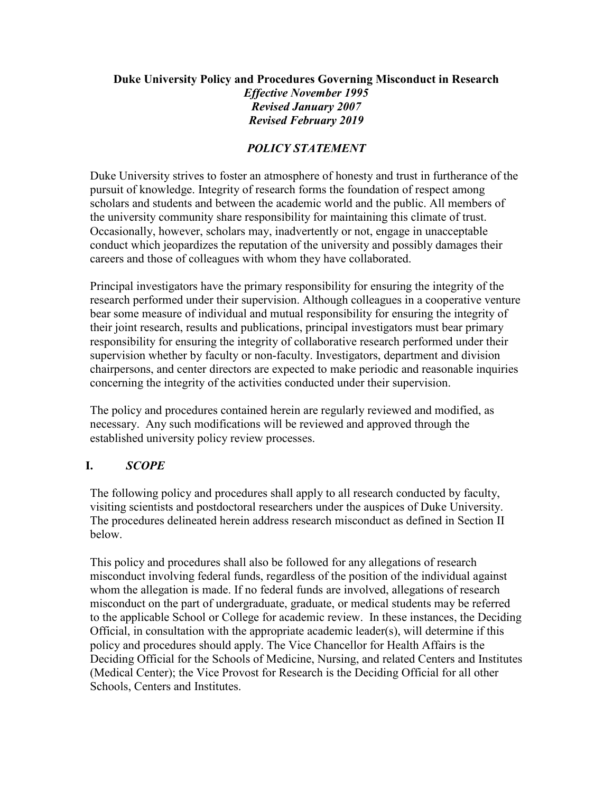## **Duke University Policy and Procedures Governing Misconduct in Research** *Effective November 1995 Revised January 2007 Revised February 2019*

### *POLICY STATEMENT*

Duke University strives to foster an atmosphere of honesty and trust in furtherance of the pursuit of knowledge. Integrity of research forms the foundation of respect among scholars and students and between the academic world and the public. All members of the university community share responsibility for maintaining this climate of trust. Occasionally, however, scholars may, inadvertently or not, engage in unacceptable conduct which jeopardizes the reputation of the university and possibly damages their careers and those of colleagues with whom they have collaborated.

Principal investigators have the primary responsibility for ensuring the integrity of the research performed under their supervision. Although colleagues in a cooperative venture bear some measure of individual and mutual responsibility for ensuring the integrity of their joint research, results and publications, principal investigators must bear primary responsibility for ensuring the integrity of collaborative research performed under their supervision whether by faculty or non-faculty. Investigators, department and division chairpersons, and center directors are expected to make periodic and reasonable inquiries concerning the integrity of the activities conducted under their supervision.

The policy and procedures contained herein are regularly reviewed and modified, as necessary. Any such modifications will be reviewed and approved through the established university policy review processes.

### **I.** *SCOPE*

The following policy and procedures shall apply to all research conducted by faculty, visiting scientists and postdoctoral researchers under the auspices of Duke University. The procedures delineated herein address research misconduct as defined in Section II below.

This policy and procedures shall also be followed for any allegations of research misconduct involving federal funds, regardless of the position of the individual against whom the allegation is made. If no federal funds are involved, allegations of research misconduct on the part of undergraduate, graduate, or medical students may be referred to the applicable School or College for academic review. In these instances, the Deciding Official, in consultation with the appropriate academic leader(s), will determine if this policy and procedures should apply. The Vice Chancellor for Health Affairs is the Deciding Official for the Schools of Medicine, Nursing, and related Centers and Institutes (Medical Center); the Vice Provost for Research is the Deciding Official for all other Schools, Centers and Institutes.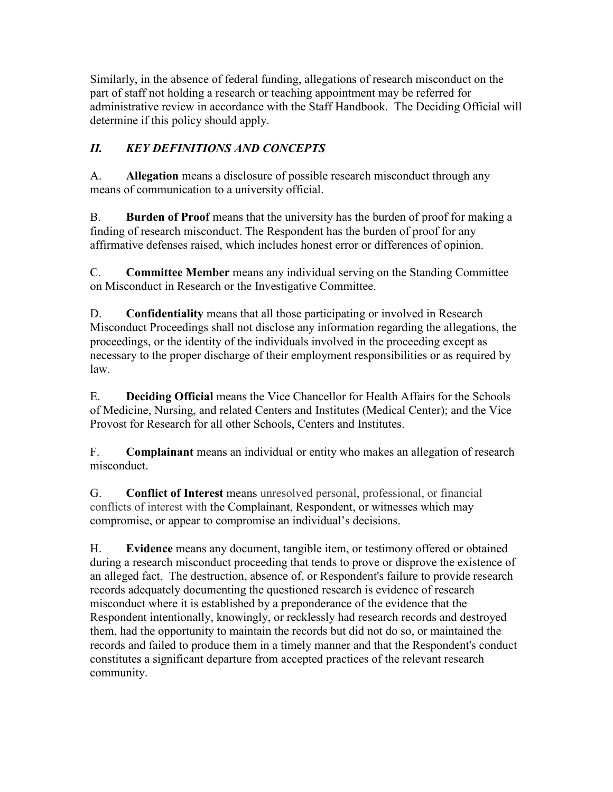Similarly, in the absence of federal funding, allegations of research misconduct on the part of staff not holding a research or teaching appointment may be referred for administrative review in accordance with the Staff Handbook. The Deciding Official will determine if this policy should apply.

# *II. KEY DEFINITIONS AND CONCEPTS*

A. **Allegation** means a disclosure of possible research misconduct through any means of communication to a university official.

B. **Burden of Proof** means that the university has the burden of proof for making a finding of research misconduct. The Respondent has the burden of proof for any affirmative defenses raised, which includes honest error or differences of opinion.

C. **Committee Member** means any individual serving on the Standing Committee on Misconduct in Research or the Investigative Committee.

D. **Confidentiality** means that all those participating or involved in Research Misconduct Proceedings shall not disclose any information regarding the allegations, the proceedings, or the identity of the individuals involved in the proceeding except as necessary to the proper discharge of their employment responsibilities or as required by law.

E. **Deciding Official** means the Vice Chancellor for Health Affairs for the Schools of Medicine, Nursing, and related Centers and Institutes (Medical Center); and the Vice Provost for Research for all other Schools, Centers and Institutes.

F. **Complainant** means an individual or entity who makes an allegation of research misconduct.

G. **Conflict of Interest** means unresolved personal, professional, or financial conflicts of interest with the [Complainant,](https://www.law.cornell.edu/definitions/index.php?width=840&height=800&iframe=true&def_id=2ef700841e8563dbc3951f586c0f85ff&term_occur=1&term_src=Title:42:Chapter:I:Subchapter:H:Part:93:Subpart:C:Subjgrp:29:93.304) [Respondent,](https://www.law.cornell.edu/definitions/index.php?width=840&height=800&iframe=true&def_id=3819c56eadbf9ea9d044c04d1e9dc51d&term_occur=1&term_src=Title:42:Chapter:I:Subchapter:H:Part:93:Subpart:C:Subjgrp:29:93.304) or witnesses which may compromise, or appear to compromise an individual's decisions.

H. **Evidence** means any document, tangible item, or testimony offered or obtained during a research misconduct proceeding that tends to prove or disprove the existence of an alleged fact. The destruction, absence of, or [Respondent's](https://www.law.cornell.edu/definitions/index.php?width=840&height=800&iframe=true&def_id=3819c56eadbf9ea9d044c04d1e9dc51d&term_occur=1&term_src=Title:42:Chapter:I:Subchapter:H:Part:93:Subpart:A:93.106) failure to provide [research](https://www.law.cornell.edu/definitions/index.php?width=840&height=800&iframe=true&def_id=bb681964e62cb28ae6c2117e718417f9&term_occur=1&term_src=Title:42:Chapter:I:Subchapter:H:Part:93:Subpart:A:93.106)  [records](https://www.law.cornell.edu/definitions/index.php?width=840&height=800&iframe=true&def_id=bb681964e62cb28ae6c2117e718417f9&term_occur=1&term_src=Title:42:Chapter:I:Subchapter:H:Part:93:Subpart:A:93.106) adequately documenting the questioned [research](https://www.law.cornell.edu/definitions/index.php?width=840&height=800&iframe=true&def_id=8705bf38d7bec3d13ee2a9944eb17122&term_occur=1&term_src=Title:42:Chapter:I:Subchapter:H:Part:93:Subpart:A:93.106) is [evidence](https://www.law.cornell.edu/definitions/index.php?width=840&height=800&iframe=true&def_id=3a41da0511144eb289a65f1fa7616c47&term_occur=1&term_src=Title:42:Chapter:I:Subchapter:H:Part:93:Subpart:A:93.106) of [research](https://www.law.cornell.edu/definitions/index.php?width=840&height=800&iframe=true&def_id=1d41ddcb9a1851a1f7e02b51666a2134&term_occur=2&term_src=Title:42:Chapter:I:Subchapter:H:Part:93:Subpart:A:93.106)  [misconduct](https://www.law.cornell.edu/definitions/index.php?width=840&height=800&iframe=true&def_id=1d41ddcb9a1851a1f7e02b51666a2134&term_occur=2&term_src=Title:42:Chapter:I:Subchapter:H:Part:93:Subpart:A:93.106) where it is established by a [preponderance of the evidence](https://www.law.cornell.edu/definitions/index.php?width=840&height=800&iframe=true&def_id=40a84721bed72242b4bb66f7b2a2c0e2&term_occur=2&term_src=Title:42:Chapter:I:Subchapter:H:Part:93:Subpart:A:93.106) that the [Respondent](https://www.law.cornell.edu/definitions/index.php?width=840&height=800&iframe=true&def_id=3819c56eadbf9ea9d044c04d1e9dc51d&term_occur=2&term_src=Title:42:Chapter:I:Subchapter:H:Part:93:Subpart:A:93.106) intentionally, knowingly, or recklessly had [research records](https://www.law.cornell.edu/definitions/index.php?width=840&height=800&iframe=true&def_id=bb681964e62cb28ae6c2117e718417f9&term_occur=2&term_src=Title:42:Chapter:I:Subchapter:H:Part:93:Subpart:A:93.106) and destroyed them, had the opportunity to maintain the records but did not do so, or maintained the records and failed to produce them in a timely manner and that the [Respondent's](https://www.law.cornell.edu/definitions/index.php?width=840&height=800&iframe=true&def_id=3819c56eadbf9ea9d044c04d1e9dc51d&term_occur=3&term_src=Title:42:Chapter:I:Subchapter:H:Part:93:Subpart:A:93.106) conduct constitutes a significant departure from accepted practices of the relevant [research](https://www.law.cornell.edu/definitions/index.php?width=840&height=800&iframe=true&def_id=8705bf38d7bec3d13ee2a9944eb17122&term_occur=2&term_src=Title:42:Chapter:I:Subchapter:H:Part:93:Subpart:A:93.106) community.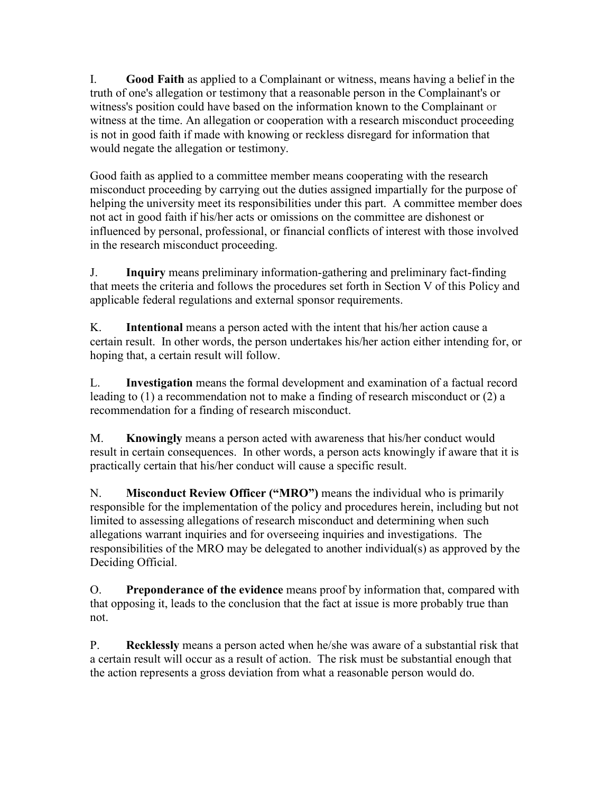I. **Good Faith** as applied to a [Complainant](https://www.law.cornell.edu/definitions/index.php?width=840&height=800&iframe=true&def_id=2ef700841e8563dbc3951f586c0f85ff&term_occur=1&term_src=Title:42:Chapter:I:Subchapter:H:Part:93:Subpart:B:93.210) or witness, means having a belief in the truth of one's [allegation](https://www.law.cornell.edu/definitions/index.php?width=840&height=800&iframe=true&def_id=f7b7c6950fea837b1de73758d393be01&term_occur=1&term_src=Title:42:Chapter:I:Subchapter:H:Part:93:Subpart:B:93.210) or testimony that a reasonable [person](https://www.law.cornell.edu/definitions/index.php?width=840&height=800&iframe=true&def_id=5d8e42e7c20c0b706512f01397552b9a&term_occur=1&term_src=Title:42:Chapter:I:Subchapter:H:Part:93:Subpart:B:93.210) in the [Complainant'](https://www.law.cornell.edu/definitions/index.php?width=840&height=800&iframe=true&def_id=2ef700841e8563dbc3951f586c0f85ff&term_occur=3&term_src=Title:42:Chapter:I:Subchapter:H:Part:93:Subpart:B:93.210)s or witness's position could have based on the information known to the [Complainant](https://www.law.cornell.edu/definitions/index.php?width=840&height=800&iframe=true&def_id=2ef700841e8563dbc3951f586c0f85ff&term_occur=2&term_src=Title:42:Chapter:I:Subchapter:H:Part:93:Subpart:B:93.210) or witness at the time. An [allegation](https://www.law.cornell.edu/definitions/index.php?width=840&height=800&iframe=true&def_id=f7b7c6950fea837b1de73758d393be01&term_occur=2&term_src=Title:42:Chapter:I:Subchapter:H:Part:93:Subpart:B:93.210) or cooperation with a [research misconduct proceeding](https://www.law.cornell.edu/definitions/index.php?width=840&height=800&iframe=true&def_id=06cdbebf3f0b63637450812e8fc2d1e3&term_occur=1&term_src=Title:42:Chapter:I:Subchapter:H:Part:93:Subpart:B:93.210) is not in [good faith](https://www.law.cornell.edu/definitions/index.php?width=840&height=800&iframe=true&def_id=45f7082d33aa0a432811709167d3a6f0&term_occur=2&term_src=Title:42:Chapter:I:Subchapter:H:Part:93:Subpart:B:93.210) if made with knowing or reckless disregard for information that would negate the [allegation](https://www.law.cornell.edu/definitions/index.php?width=840&height=800&iframe=true&def_id=f7b7c6950fea837b1de73758d393be01&term_occur=3&term_src=Title:42:Chapter:I:Subchapter:H:Part:93:Subpart:B:93.210) or testimony.

Good faith as applied to a committee member means cooperating with the research misconduct proceeding by carrying out the duties assigned impartially for the purpose of helping the university meet its responsibilities under this part. A committee member does not act in good faith if his/her acts or omissions on the committee are dishonest or influenced by personal, professional, or financial conflicts of interest with those involved in the research misconduct proceeding.

J. **Inquiry** means preliminary information-gathering and preliminary fact-finding that meets the criteria and follows the procedures set forth in Section V of this Policy and applicable federal regulations and external sponsor requirements.

K. **Intentional** means a person acted with the intent that his/her action cause a certain result. In other words, the person undertakes his/her action either intending for, or hoping that, a certain result will follow.

L. **Investigation** means the formal development and examination of a factual record leading to (1) a recommendation not to make a finding of research misconduct or (2) a recommendation for a finding of research misconduct.

M. **Knowingly** means a person acted with awareness that his/her conduct would result in certain consequences. In other words, a person acts knowingly if aware that it is practically certain that his/her conduct will cause a specific result.

N. **Misconduct Review Officer ("MRO")** means the individual who is primarily responsible for the implementation of the policy and procedures herein, including but not limited to assessing allegations of research misconduct and determining when such allegations warrant inquiries and for overseeing inquiries and investigations. The responsibilities of the MRO may be delegated to another individual(s) as approved by the Deciding Official.

O. **Preponderance of the evidence** means proof by information that, compared with that opposing it, leads to the conclusion that the fact at issue is more probably true than not.

P. **Recklessly** means a person acted when he/she was aware of a substantial risk that a certain result will occur as a result of action. The risk must be substantial enough that the action represents a gross deviation from what a reasonable person would do.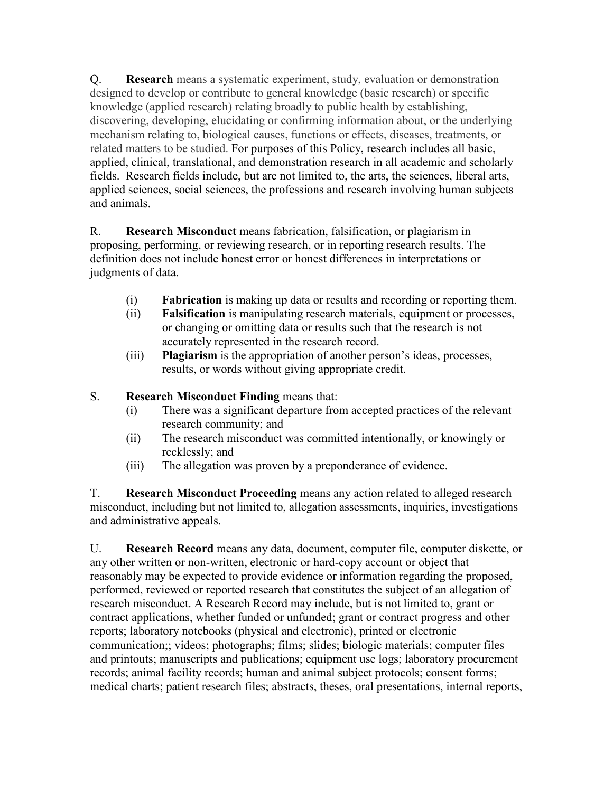Q. **Research** means a systematic experiment, study, evaluation or demonstration designed to develop or contribute to general knowledge (basic research) or specific knowledge (applied research) relating broadly to public health by establishing, discovering, developing, elucidating or confirming information about, or the underlying mechanism relating to, biological causes, functions or effects, diseases, treatments, or related matters to be studied. For purposes of this Policy, research includes all basic, applied, clinical, translational, and demonstration research in all academic and scholarly fields. Research fields include, but are not limited to, the arts, the sciences, liberal arts, applied sciences, social sciences, the professions and research involving human subjects and animals.

R. **Research Misconduct** means fabrication, falsification, or plagiarism in proposing, performing, or reviewing research, or in reporting research results. The definition does not include honest error or honest differences in interpretations or judgments of data.

- (i) **Fabrication** is making up data or results and recording or reporting them.
- (ii) **Falsification** is manipulating research materials, equipment or processes, or changing or omitting data or results such that the research is not accurately represented in the research record.
- (iii) **Plagiarism** is the appropriation of another person's ideas, processes, results, or words without giving appropriate credit.

### S. **Research Misconduct Finding** means that:

- (i) There was a significant departure from accepted practices of the relevant research community; and
- (ii) The research misconduct was committed intentionally, or knowingly or recklessly; and
- (iii) The allegation was proven by a preponderance of evidence.

T. **Research Misconduct Proceeding** means any action related to alleged research misconduct, including but not limited to, allegation assessments, inquiries, investigations and administrative appeals.

U. **Research Record** means any data, document, computer file, computer diskette, or any other written or non-written, electronic or hard-copy account or object that reasonably may be expected to provide evidence or information regarding the proposed, performed, reviewed or reported research that constitutes the subject of an allegation of research misconduct. A Research Record may include, but is not limited to, grant or contract applications, whether funded or unfunded; grant or contract progress and other reports; laboratory notebooks (physical and electronic), printed or electronic communication;; videos; photographs; films; slides; biologic materials; computer files and printouts; manuscripts and publications; equipment use logs; laboratory procurement records; animal facility records; human and animal subject protocols; consent forms; medical charts; patient research files; abstracts, theses, oral presentations, internal reports,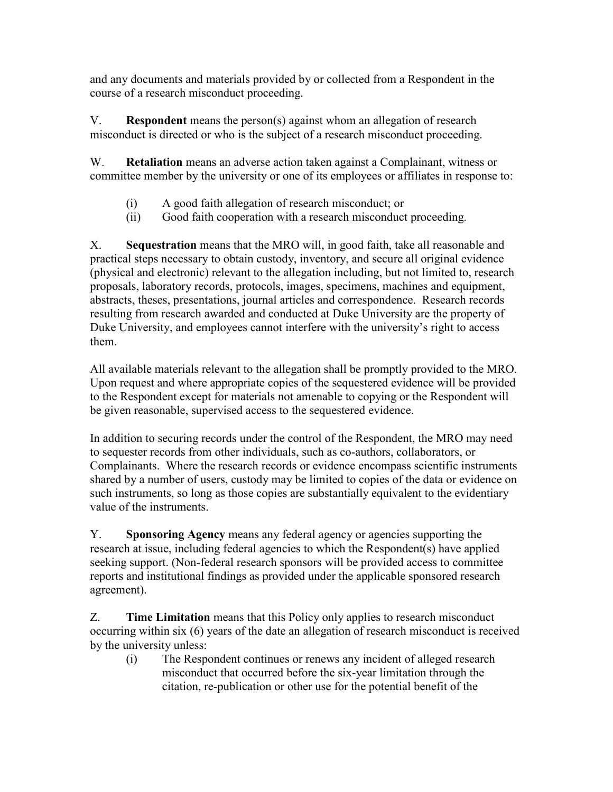and any documents and materials provided by or collected from a Respondent in the course of a research misconduct proceeding.

V. **Respondent** means the person(s) against whom an allegation of research misconduct is directed or who is the subject of a research misconduct proceeding.

W. **Retaliation** means an adverse action taken against a Complainant, witness or committee member by the university or one of its employees or affiliates in response to:

- (i) A good faith allegation of research misconduct; or
- (ii) Good faith cooperation with a research misconduct proceeding.

X. **Sequestration** means that the MRO will, in good faith, take all reasonable and practical steps necessary to obtain custody, inventory, and secure all original evidence (physical and electronic) relevant to the allegation including, but not limited to, research proposals, laboratory records, protocols, images, specimens, machines and equipment, abstracts, theses, presentations, journal articles and correspondence. Research records resulting from research awarded and conducted at Duke University are the property of Duke University, and employees cannot interfere with the university's right to access them.

All available materials relevant to the allegation shall be promptly provided to the MRO. Upon request and where appropriate copies of the sequestered evidence will be provided to the Respondent except for materials not amenable to copying or the Respondent will be given reasonable, supervised access to the sequestered evidence.

In addition to securing records under the control of the Respondent, the MRO may need to sequester records from other individuals, such as co-authors, collaborators, or Complainants. Where the research records or evidence encompass scientific instruments shared by a number of users, custody may be limited to copies of the data or evidence on such instruments, so long as those copies are substantially equivalent to the evidentiary value of the instruments.

Y. **Sponsoring Agency** means any federal agency or agencies supporting the research at issue, including federal agencies to which the Respondent(s) have applied seeking support. (Non-federal research sponsors will be provided access to committee reports and institutional findings as provided under the applicable sponsored research agreement).

Z. **Time Limitation** means that this Policy only applies to research misconduct occurring within six (6) years of the date an allegation of research misconduct is received by the university unless:

(i) The Respondent continues or renews any incident of alleged research misconduct that occurred before the six-year limitation through the citation, re-publication or other use for the potential benefit of the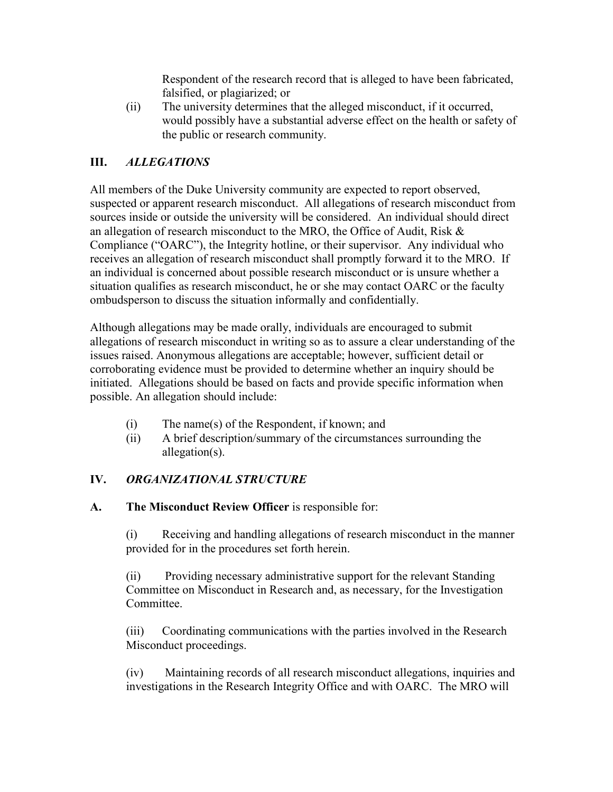Respondent of the research record that is alleged to have been fabricated, falsified, or plagiarized; or

(ii) The university determines that the alleged misconduct, if it occurred, would possibly have a substantial adverse effect on the health or safety of the public or research community.

## **III.** *ALLEGATIONS*

All members of the Duke University community are expected to report observed, suspected or apparent research misconduct. All allegations of research misconduct from sources inside or outside the university will be considered. An individual should direct an allegation of research misconduct to the MRO, the Office of Audit, Risk & Compliance ("OARC"), the Integrity hotline, or their supervisor. Any individual who receives an allegation of research misconduct shall promptly forward it to the MRO. If an individual is concerned about possible research misconduct or is unsure whether a situation qualifies as research misconduct, he or she may contact OARC or the faculty ombudsperson to discuss the situation informally and confidentially.

Although allegations may be made orally, individuals are encouraged to submit allegations of research misconduct in writing so as to assure a clear understanding of the issues raised. Anonymous allegations are acceptable; however, sufficient detail or corroborating evidence must be provided to determine whether an inquiry should be initiated. Allegations should be based on facts and provide specific information when possible. An allegation should include:

- (i) The name(s) of the Respondent, if known; and
- (ii) A brief description/summary of the circumstances surrounding the allegation(s).

## **IV.** *ORGANIZATIONAL STRUCTURE*

**A. The Misconduct Review Officer** is responsible for:

(i) Receiving and handling allegations of research misconduct in the manner provided for in the procedures set forth herein.

(ii) Providing necessary administrative support for the relevant Standing Committee on Misconduct in Research and, as necessary, for the Investigation Committee.

(iii) Coordinating communications with the parties involved in the Research Misconduct proceedings.

(iv) Maintaining records of all research misconduct allegations, inquiries and investigations in the Research Integrity Office and with OARC. The MRO will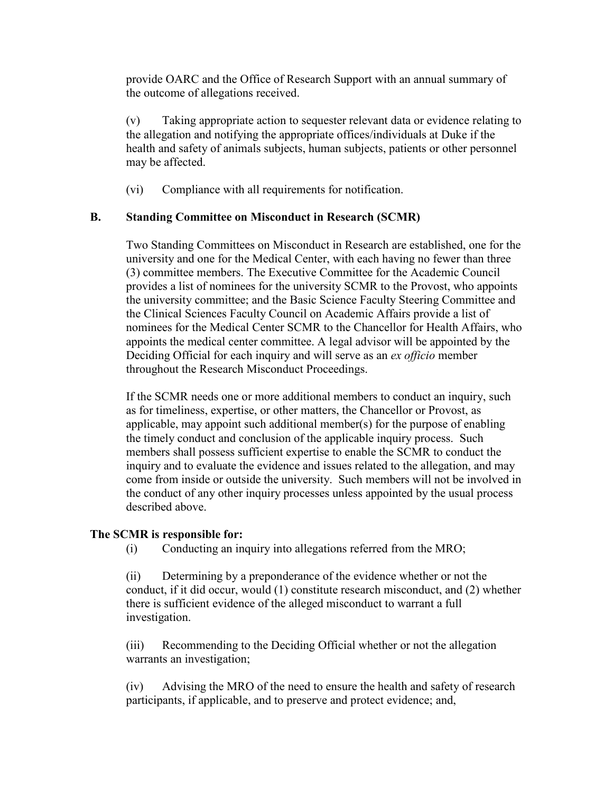provide OARC and the Office of Research Support with an annual summary of the outcome of allegations received.

(v) Taking appropriate action to sequester relevant data or evidence relating to the allegation and notifying the appropriate offices/individuals at Duke if the health and safety of animals subjects, human subjects, patients or other personnel may be affected.

(vi) Compliance with all requirements for notification.

### **B. Standing Committee on Misconduct in Research (SCMR)**

Two Standing Committees on Misconduct in Research are established, one for the university and one for the Medical Center, with each having no fewer than three (3) committee members. The Executive Committee for the Academic Council provides a list of nominees for the university SCMR to the Provost, who appoints the university committee; and the Basic Science Faculty Steering Committee and the Clinical Sciences Faculty Council on Academic Affairs provide a list of nominees for the Medical Center SCMR to the Chancellor for Health Affairs, who appoints the medical center committee. A legal advisor will be appointed by the Deciding Official for each inquiry and will serve as an *ex officio* member throughout the Research Misconduct Proceedings.

If the SCMR needs one or more additional members to conduct an inquiry, such as for timeliness, expertise, or other matters, the Chancellor or Provost, as applicable, may appoint such additional member(s) for the purpose of enabling the timely conduct and conclusion of the applicable inquiry process. Such members shall possess sufficient expertise to enable the SCMR to conduct the inquiry and to evaluate the evidence and issues related to the allegation, and may come from inside or outside the university. Such members will not be involved in the conduct of any other inquiry processes unless appointed by the usual process described above.

#### **The SCMR is responsible for:**

(i) Conducting an inquiry into allegations referred from the MRO;

(ii) Determining by a preponderance of the evidence whether or not the conduct, if it did occur, would (1) constitute research misconduct, and (2) whether there is sufficient evidence of the alleged misconduct to warrant a full investigation.

(iii) Recommending to the Deciding Official whether or not the allegation warrants an investigation;

(iv) Advising the MRO of the need to ensure the health and safety of research participants, if applicable, and to preserve and protect evidence; and,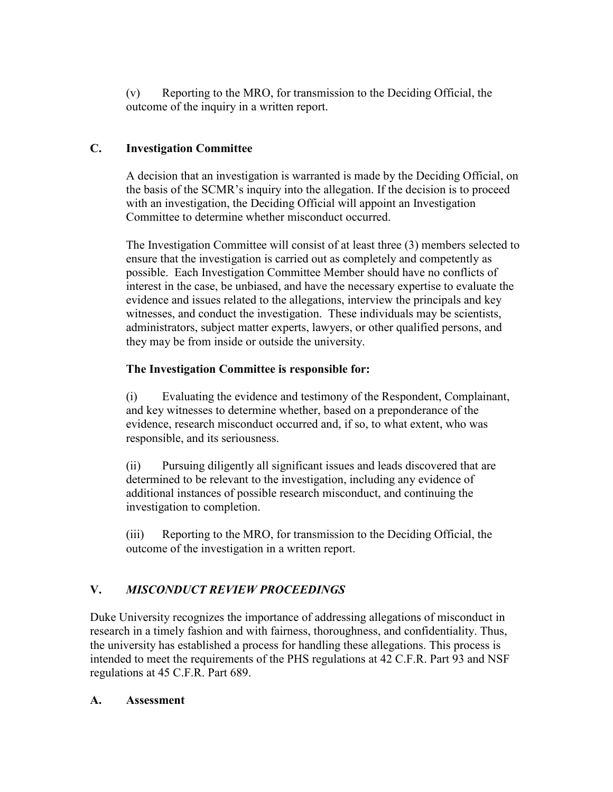(v) Reporting to the MRO, for transmission to the Deciding Official, the outcome of the inquiry in a written report.

## **C. Investigation Committee**

A decision that an investigation is warranted is made by the Deciding Official, on the basis of the SCMR's inquiry into the allegation. If the decision is to proceed with an investigation, the Deciding Official will appoint an Investigation Committee to determine whether misconduct occurred.

The Investigation Committee will consist of at least three (3) members selected to ensure that the investigation is carried out as completely and competently as possible. Each Investigation Committee Member should have no conflicts of interest in the case, be unbiased, and have the necessary expertise to evaluate the evidence and issues related to the allegations, interview the principals and key witnesses, and conduct the investigation. These individuals may be scientists, administrators, subject matter experts, lawyers, or other qualified persons, and they may be from inside or outside the university.

## **The Investigation Committee is responsible for:**

(i) Evaluating the evidence and testimony of the Respondent, Complainant, and key witnesses to determine whether, based on a preponderance of the evidence, research misconduct occurred and, if so, to what extent, who was responsible, and its seriousness.

(ii) Pursuing diligently all significant issues and leads discovered that are determined to be relevant to the investigation, including any evidence of additional instances of possible research misconduct, and continuing the investigation to completion.

(iii) Reporting to the MRO, for transmission to the Deciding Official, the outcome of the investigation in a written report.

# **V.** *MISCONDUCT REVIEW PROCEEDINGS*

Duke University recognizes the importance of addressing allegations of misconduct in research in a timely fashion and with fairness, thoroughness, and confidentiality. Thus, the university has established a process for handling these allegations. This process is intended to meet the requirements of the PHS regulations at 42 C.F.R. Part 93 and NSF regulations at 45 C.F.R. Part 689.

## **A. Assessment**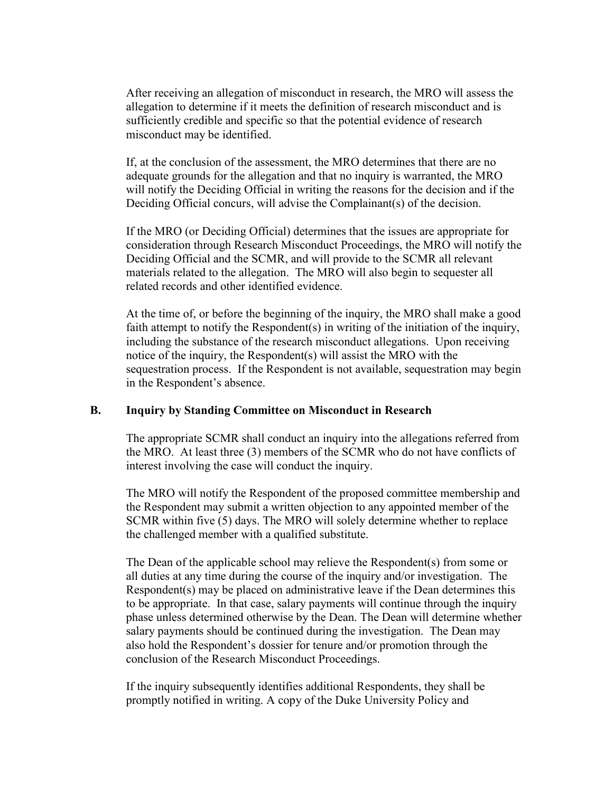After receiving an allegation of misconduct in research, the MRO will assess the allegation to determine if it meets the definition of research misconduct and is sufficiently credible and specific so that the potential evidence of research misconduct may be identified.

If, at the conclusion of the assessment, the MRO determines that there are no adequate grounds for the allegation and that no inquiry is warranted, the MRO will notify the Deciding Official in writing the reasons for the decision and if the Deciding Official concurs, will advise the Complainant(s) of the decision.

If the MRO (or Deciding Official) determines that the issues are appropriate for consideration through Research Misconduct Proceedings, the MRO will notify the Deciding Official and the SCMR, and will provide to the SCMR all relevant materials related to the allegation. The MRO will also begin to sequester all related records and other identified evidence.

At the time of, or before the beginning of the inquiry, the MRO shall make a good faith attempt to notify the Respondent(s) in writing of the initiation of the inquiry, including the substance of the research misconduct allegations. Upon receiving notice of the inquiry, the Respondent(s) will assist the MRO with the sequestration process. If the Respondent is not available, sequestration may begin in the Respondent's absence.

#### **B. Inquiry by Standing Committee on Misconduct in Research**

The appropriate SCMR shall conduct an inquiry into the allegations referred from the MRO. At least three (3) members of the SCMR who do not have conflicts of interest involving the case will conduct the inquiry.

The MRO will notify the Respondent of the proposed committee membership and the Respondent may submit a written objection to any appointed member of the SCMR within five (5) days. The MRO will solely determine whether to replace the challenged member with a qualified substitute.

The Dean of the applicable school may relieve the Respondent(s) from some or all duties at any time during the course of the inquiry and/or investigation. The Respondent(s) may be placed on administrative leave if the Dean determines this to be appropriate. In that case, salary payments will continue through the inquiry phase unless determined otherwise by the Dean. The Dean will determine whether salary payments should be continued during the investigation. The Dean may also hold the Respondent's dossier for tenure and/or promotion through the conclusion of the Research Misconduct Proceedings.

If the inquiry subsequently identifies additional Respondents, they shall be promptly notified in writing. A copy of the Duke University Policy and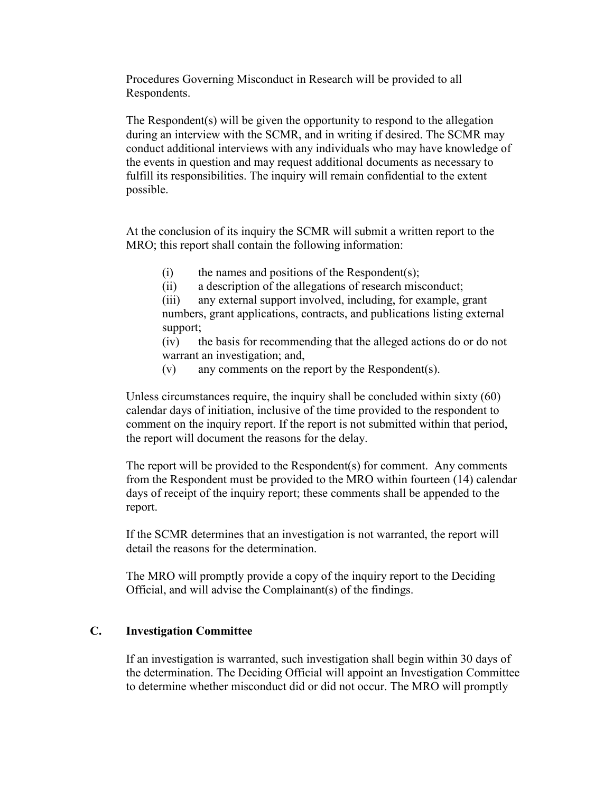Procedures Governing Misconduct in Research will be provided to all Respondents.

The Respondent(s) will be given the opportunity to respond to the allegation during an interview with the SCMR, and in writing if desired. The SCMR may conduct additional interviews with any individuals who may have knowledge of the events in question and may request additional documents as necessary to fulfill its responsibilities. The inquiry will remain confidential to the extent possible.

At the conclusion of its inquiry the SCMR will submit a written report to the MRO; this report shall contain the following information:

- (i) the names and positions of the Respondent(s);
- (ii) a description of the allegations of research misconduct;

(iii) any external support involved, including, for example, grant numbers, grant applications, contracts, and publications listing external support;

(iv) the basis for recommending that the alleged actions do or do not warrant an investigation; and,

(v) any comments on the report by the Respondent(s).

Unless circumstances require, the inquiry shall be concluded within sixty (60) calendar days of initiation, inclusive of the time provided to the respondent to comment on the inquiry report. If the report is not submitted within that period, the report will document the reasons for the delay.

The report will be provided to the Respondent(s) for comment. Any comments from the Respondent must be provided to the MRO within fourteen (14) calendar days of receipt of the inquiry report; these comments shall be appended to the report.

If the SCMR determines that an investigation is not warranted, the report will detail the reasons for the determination.

The MRO will promptly provide a copy of the inquiry report to the Deciding Official, and will advise the Complainant(s) of the findings.

### **C. Investigation Committee**

If an investigation is warranted, such investigation shall begin within 30 days of the determination. The Deciding Official will appoint an Investigation Committee to determine whether misconduct did or did not occur. The MRO will promptly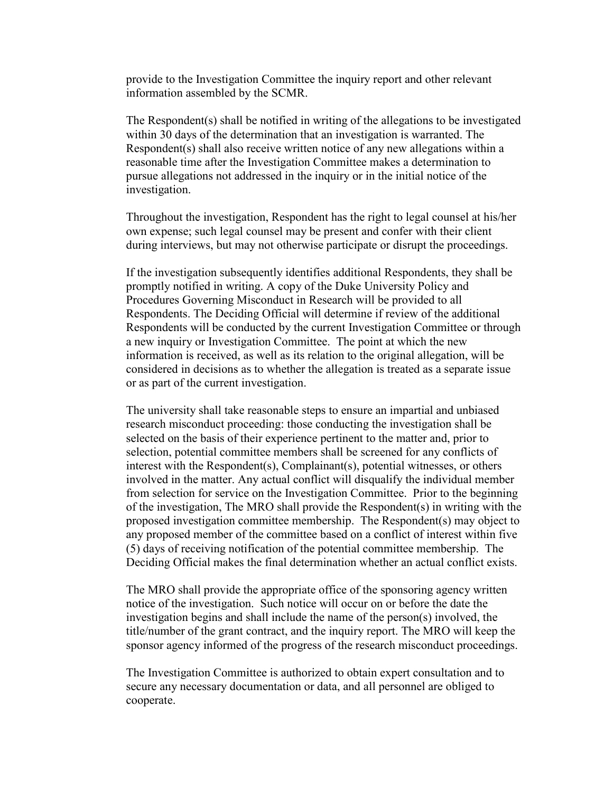provide to the Investigation Committee the inquiry report and other relevant information assembled by the SCMR.

The Respondent(s) shall be notified in writing of the allegations to be investigated within 30 days of the determination that an investigation is warranted. The Respondent(s) shall also receive written notice of any new allegations within a reasonable time after the Investigation Committee makes a determination to pursue allegations not addressed in the inquiry or in the initial notice of the investigation.

Throughout the investigation, Respondent has the right to legal counsel at his/her own expense; such legal counsel may be present and confer with their client during interviews, but may not otherwise participate or disrupt the proceedings.

If the investigation subsequently identifies additional Respondents, they shall be promptly notified in writing. A copy of the Duke University Policy and Procedures Governing Misconduct in Research will be provided to all Respondents. The Deciding Official will determine if review of the additional Respondents will be conducted by the current Investigation Committee or through a new inquiry or Investigation Committee. The point at which the new information is received, as well as its relation to the original allegation, will be considered in decisions as to whether the allegation is treated as a separate issue or as part of the current investigation.

The university shall take reasonable steps to ensure an impartial and unbiased research misconduct proceeding: those conducting the investigation shall be selected on the basis of their experience pertinent to the matter and, prior to selection, potential committee members shall be screened for any conflicts of interest with the Respondent(s), Complainant(s), potential witnesses, or others involved in the matter. Any actual conflict will disqualify the individual member from selection for service on the Investigation Committee. Prior to the beginning of the investigation, The MRO shall provide the Respondent(s) in writing with the proposed investigation committee membership. The Respondent(s) may object to any proposed member of the committee based on a conflict of interest within five (5) days of receiving notification of the potential committee membership. The Deciding Official makes the final determination whether an actual conflict exists.

The MRO shall provide the appropriate office of the sponsoring agency written notice of the investigation. Such notice will occur on or before the date the investigation begins and shall include the name of the person(s) involved, the title/number of the grant contract, and the inquiry report. The MRO will keep the sponsor agency informed of the progress of the research misconduct proceedings.

The Investigation Committee is authorized to obtain expert consultation and to secure any necessary documentation or data, and all personnel are obliged to cooperate.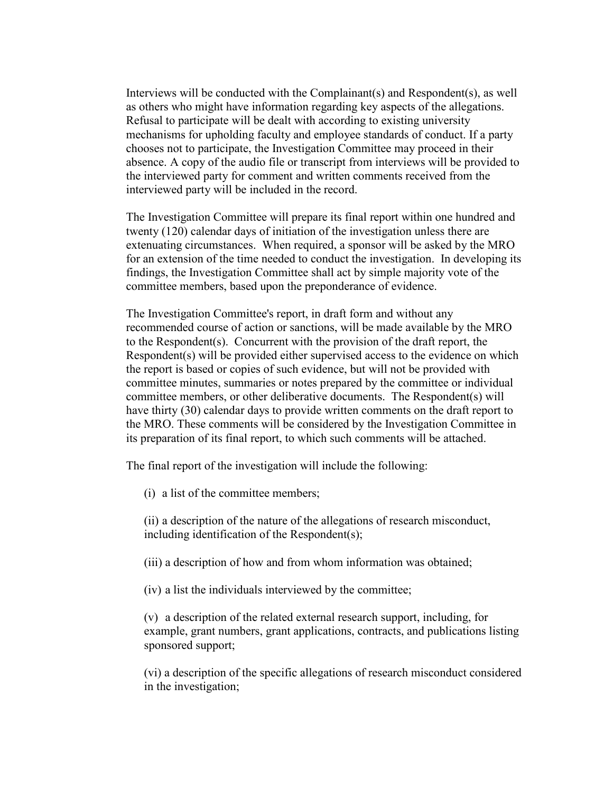Interviews will be conducted with the Complainant(s) and Respondent(s), as well as others who might have information regarding key aspects of the allegations. Refusal to participate will be dealt with according to existing university mechanisms for upholding faculty and employee standards of conduct. If a party chooses not to participate, the Investigation Committee may proceed in their absence. A copy of the audio file or transcript from interviews will be provided to the interviewed party for comment and written comments received from the interviewed party will be included in the record.

The Investigation Committee will prepare its final report within one hundred and twenty (120) calendar days of initiation of the investigation unless there are extenuating circumstances. When required, a sponsor will be asked by the MRO for an extension of the time needed to conduct the investigation. In developing its findings, the Investigation Committee shall act by simple majority vote of the committee members, based upon the preponderance of evidence.

The Investigation Committee's report, in draft form and without any recommended course of action or sanctions, will be made available by the MRO to the Respondent(s). Concurrent with the provision of the draft report, the Respondent(s) will be provided either supervised access to the evidence on which the report is based or copies of such evidence, but will not be provided with committee minutes, summaries or notes prepared by the committee or individual committee members, or other deliberative documents. The Respondent(s) will have thirty (30) calendar days to provide written comments on the draft report to the MRO. These comments will be considered by the Investigation Committee in its preparation of its final report, to which such comments will be attached.

The final report of the investigation will include the following:

(i) a list of the committee members;

(ii) a description of the nature of the allegations of research misconduct, including identification of the Respondent(s);

(iii) a description of how and from whom information was obtained;

(iv) a list the individuals interviewed by the committee;

(v) a description of the related external research support, including, for example, grant numbers, grant applications, contracts, and publications listing sponsored support;

(vi) a description of the specific allegations of research misconduct considered in the investigation;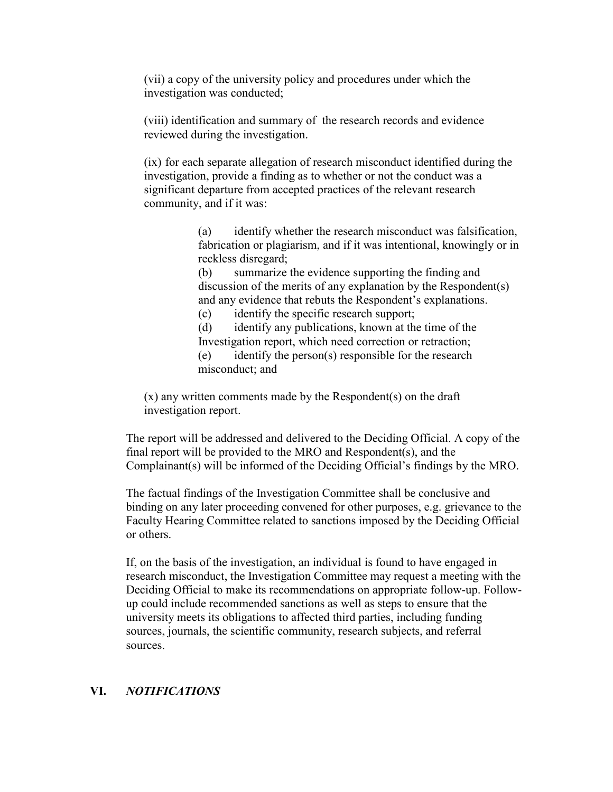(vii) a copy of the university policy and procedures under which the investigation was conducted;

(viii) identification and summary of the research records and evidence reviewed during the investigation.

(ix) for each separate allegation of research misconduct identified during the investigation, provide a finding as to whether or not the conduct was a significant departure from accepted practices of the relevant research community, and if it was:

> (a) identify whether the research misconduct was falsification, fabrication or plagiarism, and if it was intentional, knowingly or in reckless disregard;

(b) summarize the evidence supporting the finding and discussion of the merits of any explanation by the Respondent(s) and any evidence that rebuts the Respondent's explanations.

(c) identify the specific research support;

(d) identify any publications, known at the time of the Investigation report, which need correction or retraction;

(e) identify the person(s) responsible for the research misconduct; and

(x) any written comments made by the Respondent(s) on the draft investigation report.

The report will be addressed and delivered to the Deciding Official. A copy of the final report will be provided to the MRO and Respondent(s), and the Complainant(s) will be informed of the Deciding Official's findings by the MRO.

The factual findings of the Investigation Committee shall be conclusive and binding on any later proceeding convened for other purposes, e.g. grievance to the Faculty Hearing Committee related to sanctions imposed by the Deciding Official or others.

If, on the basis of the investigation, an individual is found to have engaged in research misconduct, the Investigation Committee may request a meeting with the Deciding Official to make its recommendations on appropriate follow-up. Followup could include recommended sanctions as well as steps to ensure that the university meets its obligations to affected third parties, including funding sources, journals, the scientific community, research subjects, and referral sources.

### **VI.** *NOTIFICATIONS*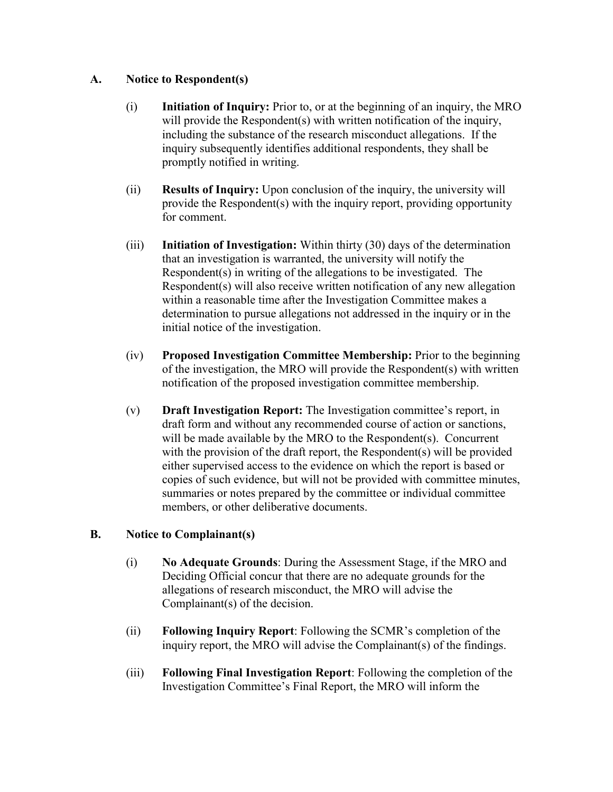### **A. Notice to Respondent(s)**

- (i) **Initiation of Inquiry:** Prior to, or at the beginning of an inquiry, the MRO will provide the Respondent (s) with written notification of the inquiry, including the substance of the research misconduct allegations. If the inquiry subsequently identifies additional respondents, they shall be promptly notified in writing.
- (ii) **Results of Inquiry:** Upon conclusion of the inquiry, the university will provide the Respondent(s) with the inquiry report, providing opportunity for comment.
- (iii) **Initiation of Investigation:** Within thirty (30) days of the determination that an investigation is warranted, the university will notify the Respondent(s) in writing of the allegations to be investigated. The Respondent(s) will also receive written notification of any new allegation within a reasonable time after the Investigation Committee makes a determination to pursue allegations not addressed in the inquiry or in the initial notice of the investigation.
- (iv) **Proposed Investigation Committee Membership:** Prior to the beginning of the investigation, the MRO will provide the Respondent(s) with written notification of the proposed investigation committee membership.
- (v) **Draft Investigation Report:** The Investigation committee's report, in draft form and without any recommended course of action or sanctions, will be made available by the MRO to the Respondent(s). Concurrent with the provision of the draft report, the Respondent(s) will be provided either supervised access to the evidence on which the report is based or copies of such evidence, but will not be provided with committee minutes, summaries or notes prepared by the committee or individual committee members, or other deliberative documents.

### **B. Notice to Complainant(s)**

- (i) **No Adequate Grounds**: During the Assessment Stage, if the MRO and Deciding Official concur that there are no adequate grounds for the allegations of research misconduct, the MRO will advise the Complainant(s) of the decision.
- (ii) **Following Inquiry Report**: Following the SCMR's completion of the inquiry report, the MRO will advise the Complainant(s) of the findings.
- (iii) **Following Final Investigation Report**: Following the completion of the Investigation Committee's Final Report, the MRO will inform the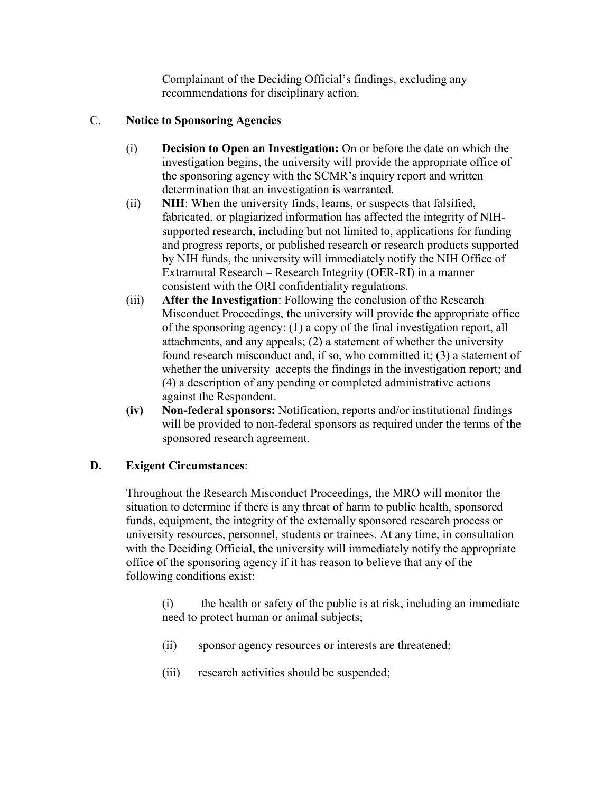Complainant of the Deciding Official's findings, excluding any recommendations for disciplinary action.

### C. **Notice to Sponsoring Agencies**

- (i) **Decision to Open an Investigation:** On or before the date on which the investigation begins, the university will provide the appropriate office of the sponsoring agency with the SCMR's inquiry report and written determination that an investigation is warranted.
- (ii) **NIH**: When the university finds, learns, or suspects that falsified, fabricated, or plagiarized information has affected the integrity of NIHsupported research, including but not limited to, applications for funding and progress reports, or published research or research products supported by NIH funds, the university will immediately notify the NIH Office of Extramural Research – Research Integrity (OER-RI) in a manner consistent with the ORI confidentiality regulations.
- (iii) **After the Investigation**: Following the conclusion of the Research Misconduct Proceedings, the university will provide the appropriate office of the sponsoring agency: (1) a copy of the final investigation report, all attachments, and any appeals; (2) a statement of whether the university found research misconduct and, if so, who committed it; (3) a statement of whether the university accepts the findings in the investigation report; and (4) a description of any pending or completed administrative actions against the Respondent.
- **(iv) Non-federal sponsors:** Notification, reports and/or institutional findings will be provided to non-federal sponsors as required under the terms of the sponsored research agreement.

## **D. Exigent Circumstances**:

Throughout the Research Misconduct Proceedings, the MRO will monitor the situation to determine if there is any threat of harm to public health, sponsored funds, equipment, the integrity of the externally sponsored research process or university resources, personnel, students or trainees. At any time, in consultation with the Deciding Official, the university will immediately notify the appropriate office of the sponsoring agency if it has reason to believe that any of the following conditions exist:

(i) the health or safety of the public is at risk, including an immediate need to protect human or animal subjects;

- (ii) sponsor agency resources or interests are threatened;
- (iii) research activities should be suspended;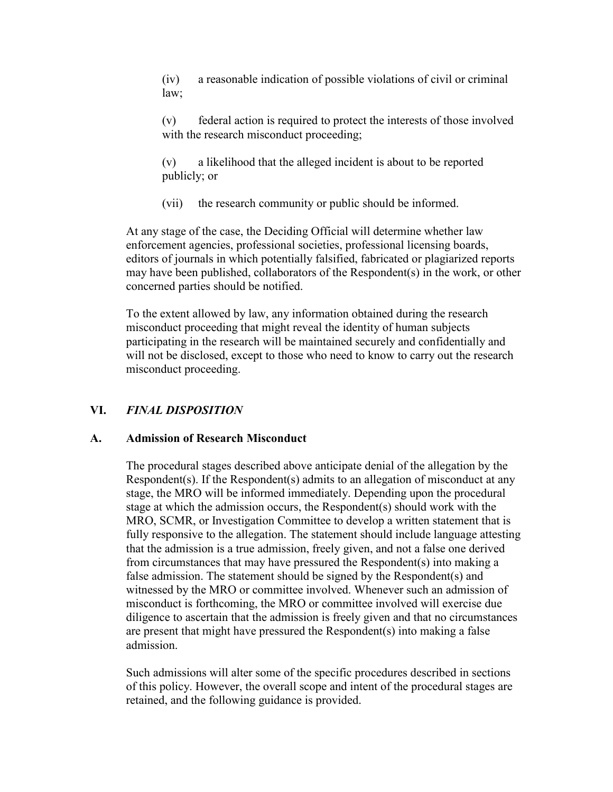(iv) a reasonable indication of possible violations of civil or criminal law;

(v) federal action is required to protect the interests of those involved with the research misconduct proceeding;

(v) a likelihood that the alleged incident is about to be reported publicly; or

(vii) the research community or public should be informed.

At any stage of the case, the Deciding Official will determine whether law enforcement agencies, professional societies, professional licensing boards, editors of journals in which potentially falsified, fabricated or plagiarized reports may have been published, collaborators of the Respondent(s) in the work, or other concerned parties should be notified.

To the extent allowed by law, any information obtained during the research misconduct proceeding that might reveal the identity of human subjects participating in the research will be maintained securely and confidentially and will not be disclosed, except to those who need to know to carry out the research misconduct proceeding.

## **VI.** *FINAL DISPOSITION*

### **A. Admission of Research Misconduct**

The procedural stages described above anticipate denial of the allegation by the Respondent(s). If the Respondent(s) admits to an allegation of misconduct at any stage, the MRO will be informed immediately. Depending upon the procedural stage at which the admission occurs, the Respondent(s) should work with the MRO, SCMR, or Investigation Committee to develop a written statement that is fully responsive to the allegation. The statement should include language attesting that the admission is a true admission, freely given, and not a false one derived from circumstances that may have pressured the Respondent(s) into making a false admission. The statement should be signed by the Respondent(s) and witnessed by the MRO or committee involved. Whenever such an admission of misconduct is forthcoming, the MRO or committee involved will exercise due diligence to ascertain that the admission is freely given and that no circumstances are present that might have pressured the Respondent(s) into making a false admission.

Such admissions will alter some of the specific procedures described in sections of this policy. However, the overall scope and intent of the procedural stages are retained, and the following guidance is provided.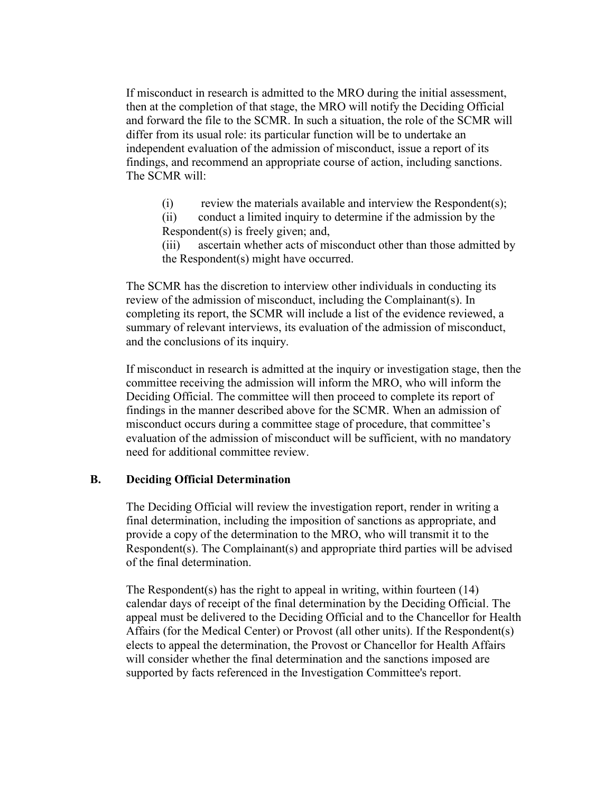If misconduct in research is admitted to the MRO during the initial assessment, then at the completion of that stage, the MRO will notify the Deciding Official and forward the file to the SCMR. In such a situation, the role of the SCMR will differ from its usual role: its particular function will be to undertake an independent evaluation of the admission of misconduct, issue a report of its findings, and recommend an appropriate course of action, including sanctions. The SCMR will:

 $(i)$  review the materials available and interview the Respondent $(s)$ ;

(ii) conduct a limited inquiry to determine if the admission by the Respondent(s) is freely given; and,

(iii) ascertain whether acts of misconduct other than those admitted by the Respondent(s) might have occurred.

The SCMR has the discretion to interview other individuals in conducting its review of the admission of misconduct, including the Complainant(s). In completing its report, the SCMR will include a list of the evidence reviewed, a summary of relevant interviews, its evaluation of the admission of misconduct, and the conclusions of its inquiry.

If misconduct in research is admitted at the inquiry or investigation stage, then the committee receiving the admission will inform the MRO, who will inform the Deciding Official. The committee will then proceed to complete its report of findings in the manner described above for the SCMR. When an admission of misconduct occurs during a committee stage of procedure, that committee's evaluation of the admission of misconduct will be sufficient, with no mandatory need for additional committee review.

#### **B. Deciding Official Determination**

The Deciding Official will review the investigation report, render in writing a final determination, including the imposition of sanctions as appropriate, and provide a copy of the determination to the MRO, who will transmit it to the Respondent(s). The Complainant(s) and appropriate third parties will be advised of the final determination.

The Respondent(s) has the right to appeal in writing, within fourteen (14) calendar days of receipt of the final determination by the Deciding Official. The appeal must be delivered to the Deciding Official and to the Chancellor for Health Affairs (for the Medical Center) or Provost (all other units). If the Respondent(s) elects to appeal the determination, the Provost or Chancellor for Health Affairs will consider whether the final determination and the sanctions imposed are supported by facts referenced in the Investigation Committee's report.